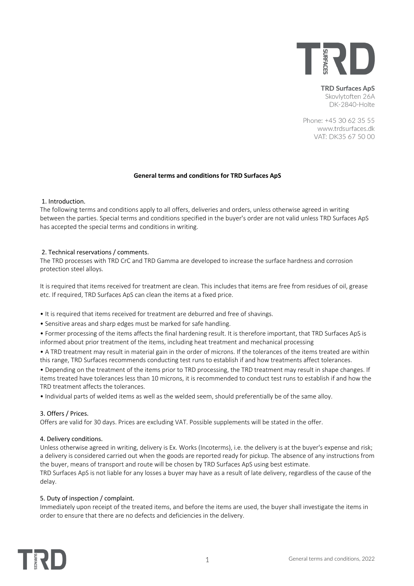

**TRD Surfaces ApS** Skovlytoften 26A DK-2840-Holte

Phone: +45 30 62 35 55 www.trdsurfaces.dk VAT: DK35 67 50 00

### **General terms and conditions for TRD Surfaces ApS**

### 1. Introduction.

The following terms and conditions apply to all offers, deliveries and orders, unless otherwise agreed in writing between the parties. Special terms and conditions specified in the buyer's order are not valid unless TRD Surfaces ApS has accepted the special terms and conditions in writing.

## 2. Technical reservations / comments.

The TRD processes with TRD CrC and TRD Gamma are developed to increase the surface hardness and corrosion protection steel alloys.

It is required that items received for treatment are clean. This includes that items are free from residues of oil, grease etc. If required, TRD Surfaces ApS can clean the items at a fixed price.

- It is required that items received for treatment are deburred and free of shavings.
- Sensitive areas and sharp edges must be marked for safe handling.
- Former processing of the items affects the final hardening result. It is therefore important, that TRD Surfaces ApS is informed about prior treatment of the items, including heat treatment and mechanical processing

• A TRD treatment may result in material gain in the order of microns. If the tolerances of the items treated are within this range, TRD Surfaces recommends conducting test runs to establish if and how treatments affect tolerances.

• Depending on the treatment of the items prior to TRD processing, the TRD treatment may result in shape changes. If items treated have tolerances less than 10 microns, it is recommended to conduct test runs to establish if and how the TRD treatment affects the tolerances.

• Individual parts of welded items as well as the welded seem, should preferentially be of the same alloy.

### 3. Offers / Prices.

Offers are valid for 30 days. Prices are excluding VAT. Possible supplements will be stated in the offer.

### 4. Delivery conditions.

Unless otherwise agreed in writing, delivery is Ex. Works (Incoterms), i.e. the delivery is at the buyer's expense and risk; a delivery is considered carried out when the goods are reported ready for pickup. The absence of any instructions from the buyer, means of transport and route will be chosen by TRD Surfaces ApS using best estimate.

TRD Surfaces ApS is not liable for any losses a buyer may have as a result of late delivery, regardless of the cause of the delay.

### 5. Duty of inspection / complaint.

Immediately upon receipt of the treated items, and before the items are used, the buyer shall investigate the items in order to ensure that there are no defects and deficiencies in the delivery.